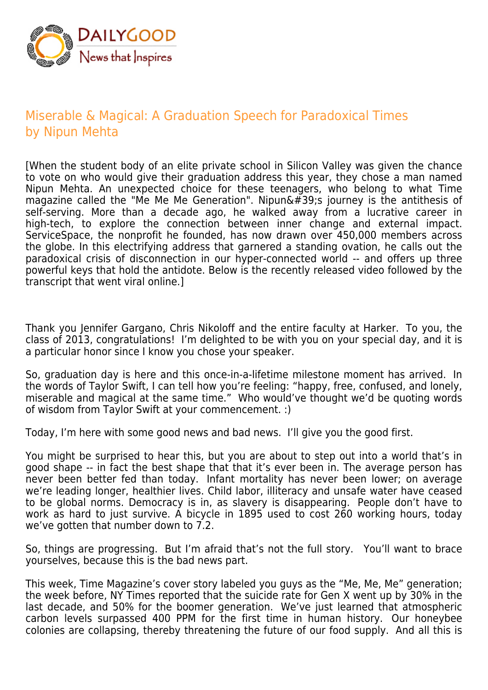

## Miserable & Magical: A Graduation Speech for Paradoxical Times by Nipun Mehta

[When the student body of an elite private school in Silicon Valley was given the chance to vote on who would give their graduation address this year, they chose a man named Nipun Mehta. An unexpected choice for these teenagers, who belong to what Time magazine called the "Me Me Me Generation". Nipun& $\#39$ ;s journey is the antithesis of self-serving. More than a decade ago, he walked away from a lucrative career in high-tech, to explore the connection between inner change and external impact. ServiceSpace, the nonprofit he founded, has now drawn over 450,000 members across the globe. In this electrifying address that garnered a standing ovation, he calls out the paradoxical crisis of disconnection in our hyper-connected world -- and offers up three powerful keys that hold the antidote. Below is the recently released video followed by the transcript that went viral online.]

Thank you Jennifer Gargano, Chris Nikoloff and the entire faculty at Harker. To you, the class of 2013, congratulations! I'm delighted to be with you on your special day, and it is a particular honor since I know you chose your speaker.

So, graduation day is here and this once-in-a-lifetime milestone moment has arrived. In the words of Taylor Swift, I can tell how you're feeling: "happy, free, confused, and lonely, miserable and magical at the same time." Who would've thought we'd be quoting words of wisdom from Taylor Swift at your commencement. :)

Today, I'm here with some good news and bad news. I'll give you the good first.

You might be surprised to hear this, but you are about to step out into a world that's in good shape -- in fact the best shape that that it's ever been in. The average person has never been better fed than today. Infant mortality has never been lower; on average we're leading longer, healthier lives. Child labor, illiteracy and unsafe water have ceased to be global norms. Democracy is in, as slavery is disappearing. People don't have to work as hard to just survive. A bicycle in 1895 used to cost 260 working hours, today we've gotten that number down to 7.2.

So, things are progressing. But I'm afraid that's not the full story. You'll want to brace yourselves, because this is the bad news part.

This week, Time Magazine's cover story labeled you guys as the "Me, Me, Me" generation; the week before, NY Times reported that the suicide rate for Gen X went up by 30% in the last decade, and 50% for the boomer generation. We've just learned that atmospheric carbon levels surpassed 400 PPM for the first time in human history. Our honeybee colonies are collapsing, thereby threatening the future of our food supply. And all this is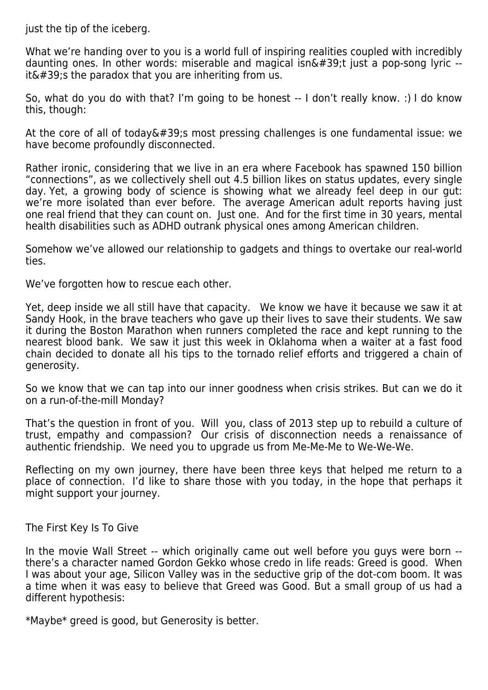just the tip of the iceberg.

What we're handing over to you is a world full of inspiring realities coupled with incredibly daunting ones. In other words: miserable and magical  $\sin\omega t$  39; t just a pop-song lyric  $$ it $\&\#39$ ; the paradox that you are inheriting from us.

So, what do you do with that? I'm going to be honest -- I don't really know. :) I do know this, though:

At the core of all of today $'$ ; most pressing challenges is one fundamental issue: we have become profoundly disconnected.

Rather ironic, considering that we live in an era where Facebook has spawned 150 billion "connections", as we collectively shell out 4.5 billion likes on status updates, every single day. Yet, a growing body of science is showing what we already feel deep in our gut: we're more isolated than ever before. The average American adult reports having just one real friend that they can count on. Just one. And for the first time in 30 years, mental health disabilities such as ADHD outrank physical ones among American children.

Somehow we've allowed our relationship to gadgets and things to overtake our real-world ties.

We've forgotten how to rescue each other.

Yet, deep inside we all still have that capacity. We know we have it because we saw it at Sandy Hook, in the brave teachers who gave up their lives to save their students. We saw it during the Boston Marathon when runners completed the race and kept running to the nearest blood bank. We saw it just this week in Oklahoma when a waiter at a fast food chain decided to donate all his tips to the tornado relief efforts and triggered a chain of generosity.

So we know that we can tap into our inner goodness when crisis strikes. But can we do it on a run-of-the-mill Monday?

That's the question in front of you. Will you, class of 2013 step up to rebuild a culture of trust, empathy and compassion? Our crisis of disconnection needs a renaissance of authentic friendship. We need you to upgrade us from Me-Me-Me to We-We-We.

Reflecting on my own journey, there have been three keys that helped me return to a place of connection. I'd like to share those with you today, in the hope that perhaps it might support your journey.

The First Key Is To Give

In the movie Wall Street -- which originally came out well before you guys were born - there's a character named Gordon Gekko whose credo in life reads: Greed is good. When I was about your age, Silicon Valley was in the seductive grip of the dot-com boom. It was a time when it was easy to believe that Greed was Good. But a small group of us had a different hypothesis:

\*Maybe\* greed is good, but Generosity is better.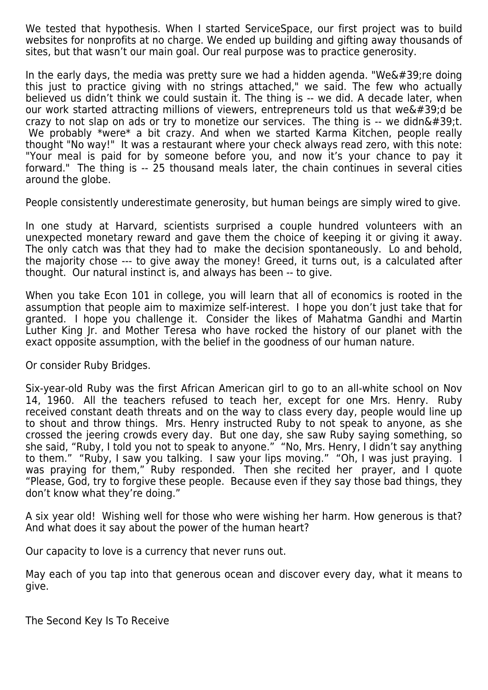We tested that hypothesis. When I started ServiceSpace, our first project was to build websites for nonprofits at no charge. We ended up building and gifting away thousands of sites, but that wasn't our main goal. Our real purpose was to practice generosity.

In the early days, the media was pretty sure we had a hidden agenda. "We $\&\#39$ ; re doing this just to practice giving with no strings attached," we said. The few who actually believed us didn't think we could sustain it. The thing is -- we did. A decade later, when our work started attracting millions of viewers, entrepreneurs told us that we&#39:d be crazy to not slap on ads or try to monetize our services. The thing is  $-$  we didn't. We probably \*were\* a bit crazy. And when we started Karma Kitchen, people really thought "No way!" It was a restaurant where your check always read zero, with this note: "Your meal is paid for by someone before you, and now it's your chance to pay it forward." The thing is -- 25 thousand meals later, the chain continues in several cities around the globe.

People consistently underestimate generosity, but human beings are simply wired to give.

In one study at Harvard, scientists surprised a couple hundred volunteers with an unexpected monetary reward and gave them the choice of keeping it or giving it away. The only catch was that they had to make the decision spontaneously. Lo and behold, the majority chose --- to give away the money! Greed, it turns out, is a calculated after thought. Our natural instinct is, and always has been -- to give.

When you take Econ 101 in college, you will learn that all of economics is rooted in the assumption that people aim to maximize self-interest. I hope you don't just take that for granted. I hope you challenge it. Consider the likes of Mahatma Gandhi and Martin Luther King Jr. and Mother Teresa who have rocked the history of our planet with the exact opposite assumption, with the belief in the goodness of our human nature.

Or consider Ruby Bridges.

Six-year-old Ruby was the first African American girl to go to an all-white school on Nov 14, 1960. All the teachers refused to teach her, except for one Mrs. Henry. Ruby received constant death threats and on the way to class every day, people would line up to shout and throw things. Mrs. Henry instructed Ruby to not speak to anyone, as she crossed the jeering crowds every day. But one day, she saw Ruby saying something, so she said, "Ruby, I told you not to speak to anyone." "No, Mrs. Henry, I didn't say anything to them." "Ruby, I saw you talking. I saw your lips moving." "Oh, I was just praying. I was praying for them," Ruby responded. Then she recited her prayer, and I quote "Please, God, try to forgive these people. Because even if they say those bad things, they don't know what they're doing."

A six year old! Wishing well for those who were wishing her harm. How generous is that? And what does it say about the power of the human heart?

Our capacity to love is a currency that never runs out.

May each of you tap into that generous ocean and discover every day, what it means to give.

The Second Key Is To Receive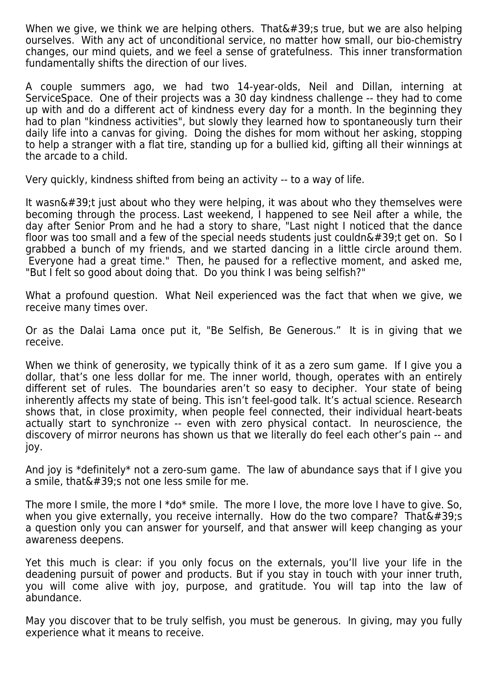When we give, we think we are helping others. That $'$ ; true, but we are also helping ourselves. With any act of unconditional service, no matter how small, our bio-chemistry changes, our mind quiets, and we feel a sense of gratefulness. This inner transformation fundamentally shifts the direction of our lives.

A couple summers ago, we had two 14-year-olds, Neil and Dillan, interning at ServiceSpace. One of their projects was a 30 day kindness challenge -- they had to come up with and do a different act of kindness every day for a month. In the beginning they had to plan "kindness activities", but slowly they learned how to spontaneously turn their daily life into a canvas for giving. Doing the dishes for mom without her asking, stopping to help a stranger with a flat tire, standing up for a bullied kid, gifting all their winnings at the arcade to a child.

Very quickly, kindness shifted from being an activity -- to a way of life.

It wasn $'$ ; t just about who they were helping, it was about who they themselves were becoming through the process. Last weekend, I happened to see Neil after a while, the day after Senior Prom and he had a story to share, "Last night I noticed that the dance floor was too small and a few of the special needs students just couldn $'$ ; get on. So I grabbed a bunch of my friends, and we started dancing in a little circle around them. Everyone had a great time." Then, he paused for a reflective moment, and asked me, "But I felt so good about doing that. Do you think I was being selfish?"

What a profound question. What Neil experienced was the fact that when we give, we receive many times over.

Or as the Dalai Lama once put it, "Be Selfish, Be Generous." It is in giving that we receive.

When we think of generosity, we typically think of it as a zero sum game. If I give you a dollar, that's one less dollar for me. The inner world, though, operates with an entirely different set of rules. The boundaries aren't so easy to decipher. Your state of being inherently affects my state of being. This isn't feel-good talk. It's actual science. Research shows that, in close proximity, when people feel connected, their individual heart-beats actually start to synchronize -- even with zero physical contact. In neuroscience, the discovery of mirror neurons has shown us that we literally do feel each other's pain -- and joy.

And joy is \*definitely\* not a zero-sum game. The law of abundance says that if I give you a smile, that  $439$ ; not one less smile for me.

The more I smile, the more I \*do\* smile. The more I love, the more love I have to give. So, when you give externally, you receive internally. How do the two compare? That $'$ ; s a question only you can answer for yourself, and that answer will keep changing as your awareness deepens.

Yet this much is clear: if you only focus on the externals, you'll live your life in the deadening pursuit of power and products. But if you stay in touch with your inner truth, you will come alive with joy, purpose, and gratitude. You will tap into the law of abundance.

May you discover that to be truly selfish, you must be generous. In giving, may you fully experience what it means to receive.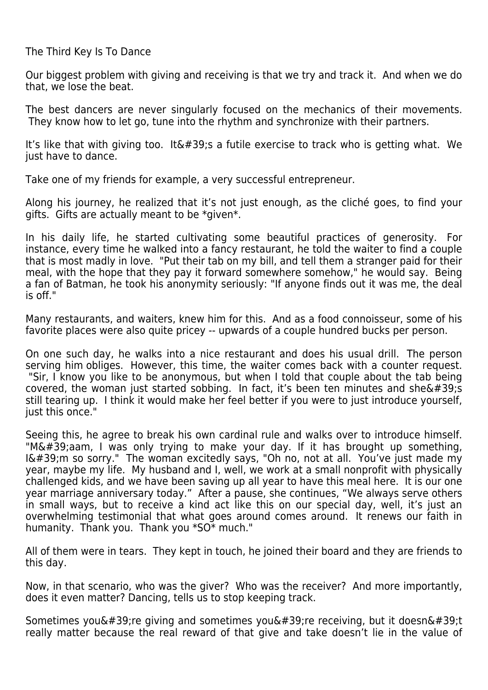## The Third Key Is To Dance

Our biggest problem with giving and receiving is that we try and track it. And when we do that, we lose the beat.

The best dancers are never singularly focused on the mechanics of their movements. They know how to let go, tune into the rhythm and synchronize with their partners.

It's like that with giving too. It  $\&\#39$ ; a futile exercise to track who is getting what. We just have to dance.

Take one of my friends for example, a very successful entrepreneur.

Along his journey, he realized that it's not just enough, as the cliché goes, to find your gifts. Gifts are actually meant to be \*given\*.

In his daily life, he started cultivating some beautiful practices of generosity. For instance, every time he walked into a fancy restaurant, he told the waiter to find a couple that is most madly in love. "Put their tab on my bill, and tell them a stranger paid for their meal, with the hope that they pay it forward somewhere somehow," he would say. Being a fan of Batman, he took his anonymity seriously: "If anyone finds out it was me, the deal is off."

Many restaurants, and waiters, knew him for this. And as a food connoisseur, some of his favorite places were also quite pricey -- upwards of a couple hundred bucks per person.

On one such day, he walks into a nice restaurant and does his usual drill. The person serving him obliges. However, this time, the waiter comes back with a counter request. "Sir, I know you like to be anonymous, but when I told that couple about the tab being covered, the woman just started sobbing. In fact, it's been ten minutes and she $\&\#39$ ;s still tearing up. I think it would make her feel better if you were to just introduce yourself. just this once."

Seeing this, he agree to break his own cardinal rule and walks over to introduce himself. "M& $\#39$ ; aam, I was only trying to make your day. If it has brought up something, I'm so sorry." The woman excitedly says, "Oh no, not at all. You've just made my year, maybe my life. My husband and I, well, we work at a small nonprofit with physically challenged kids, and we have been saving up all year to have this meal here. It is our one year marriage anniversary today." After a pause, she continues, "We always serve others in small ways, but to receive a kind act like this on our special day, well, it's just an overwhelming testimonial that what goes around comes around. It renews our faith in humanity. Thank you. Thank you \*SO\* much."

All of them were in tears. They kept in touch, he joined their board and they are friends to this day.

Now, in that scenario, who was the giver? Who was the receiver? And more importantly, does it even matter? Dancing, tells us to stop keeping track.

Sometimes you're giving and sometimes you're receiving, but it doesn't really matter because the real reward of that give and take doesn't lie in the value of